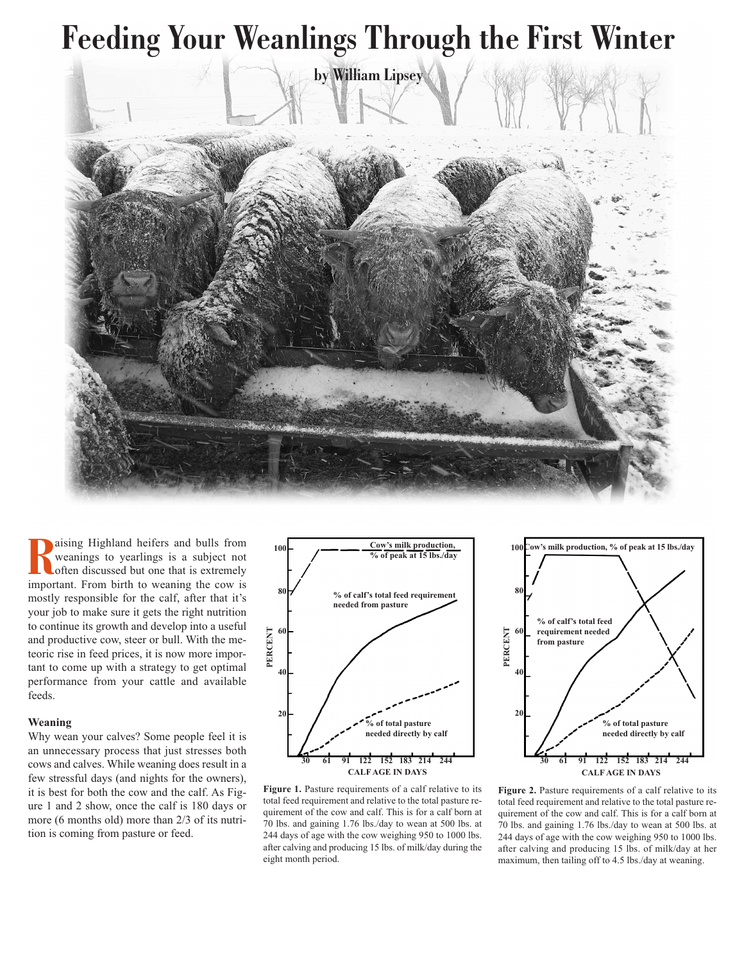

**R**ising Highland heifers and bulls from<br>
weanings to yearlings is a subject not<br>
often discussed but one that is extremely<br>
important. From birth to weaning the cow is aising Highland heifers and bulls from weanings to yearlings is a subject not often discussed but one that is extremely mostly responsible for the calf, after that it's your job to make sure it gets the right nutrition to continue its growth and develop into a useful and productive cow, steer or bull. With the meteoric rise in feed prices, it is now more important to come up with a strategy to get optimal performance from your cattle and available feeds.

## **Weaning**

Why wean your calves? Some people feel it is an unnecessary process that just stresses both cows and calves. While weaning does result in a few stressful days (and nights for the owners), it is best for both the cow and the calf. As Figure 1 and 2 show, once the calf is 180 days or more (6 months old) more than 2/3 of its nutrition is coming from pasture or feed.



**Figure 1.** Pasture requirements of a calf relative to its total feed requirement and relative to the total pasture requirement of the cow and calf. This is for a calf born at 70 lbs. and gaining 1.76 lbs./day to wean at 500 lbs. at 244 days of age with the cow weighing 950 to 1000 lbs. after calving and producing 15 lbs. of milk/day during the eight month period.



**Figure 2.** Pasture requirements of a calf relative to its total feed requirement and relative to the total pasture requirement of the cow and calf. This is for a calf born at 70 lbs. and gaining 1.76 lbs./day to wean at 500 lbs. at 244 days of age with the cow weighing 950 to 1000 lbs. after calving and producing 15 lbs. of milk/day at her maximum, then tailing off to 4.5 lbs./day at weaning.